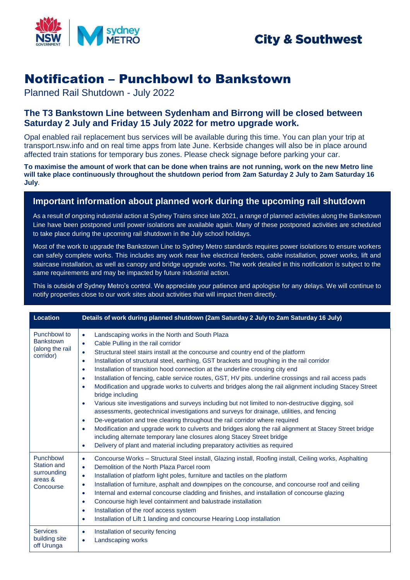

## **City & Southwest**

# Notification – Punchbowl to Bankstown

Planned Rail Shutdown - July 2022

### **The T3 Bankstown Line between Sydenham and Birrong will be closed between Saturday 2 July and Friday 15 July 2022 for metro upgrade work.**

Opal enabled rail replacement bus services will be available during this time. You can plan your trip at transport.nsw.info and on real time apps from late June. Kerbside changes will also be in place around affected train stations for temporary bus zones. Please check signage before parking your car.

**To maximise the amount of work that can be done when trains are not running, work on the new Metro line will take place continuously throughout the shutdown period from 2am Saturday 2 July to 2am Saturday 16 July**.

### **Important information about planned work during the upcoming rail shutdown**

As a result of ongoing industrial action at Sydney Trains since late 2021, a range of planned activities along the Bankstown Line have been postponed until power isolations are available again. Many of these postponed activities are scheduled to take place during the upcoming rail shutdown in the July school holidays.

Most of the work to upgrade the Bankstown Line to Sydney Metro standards requires power isolations to ensure workers can safely complete works. This includes any work near live electrical feeders, cable installation, power works, lift and staircase installation, as well as canopy and bridge upgrade works. The work detailed in this notification is subject to the same requirements and may be impacted by future industrial action.

This is outside of Sydney Metro's control. We appreciate your patience and apologise for any delays. We will continue to notify properties close to our work sites about activities that will impact them directly.

| <b>Location</b>                                                        | Details of work during planned shutdown (2am Saturday 2 July to 2am Saturday 16 July)                                                                                                                                                                                                                                                                                                                                                                                                                                                                                                                                                                                                                                                                                                                                                                                                                                                                                                                                                                                                                                                                                                                                                                                                                |
|------------------------------------------------------------------------|------------------------------------------------------------------------------------------------------------------------------------------------------------------------------------------------------------------------------------------------------------------------------------------------------------------------------------------------------------------------------------------------------------------------------------------------------------------------------------------------------------------------------------------------------------------------------------------------------------------------------------------------------------------------------------------------------------------------------------------------------------------------------------------------------------------------------------------------------------------------------------------------------------------------------------------------------------------------------------------------------------------------------------------------------------------------------------------------------------------------------------------------------------------------------------------------------------------------------------------------------------------------------------------------------|
| Punchbowl to<br><b>Bankstown</b><br>(along the rail<br>corridor)       | Landscaping works in the North and South Plaza<br>$\bullet$<br>Cable Pulling in the rail corridor<br>$\bullet$<br>Structural steel stairs install at the concourse and country end of the platform<br>$\bullet$<br>Installation of structural steel, earthing, GST brackets and troughing in the rail corridor<br>$\bullet$<br>Installation of transition hood connection at the underline crossing city end<br>$\bullet$<br>Installation of fencing, cable service routes, GST, HV pits. underline crossings and rail access pads<br>$\bullet$<br>Modification and upgrade works to culverts and bridges along the rail alignment including Stacey Street<br>$\bullet$<br>bridge including<br>Various site investigations and surveys including but not limited to non-destructive digging, soil<br>$\bullet$<br>assessments, geotechnical investigations and surveys for drainage, utilities, and fencing<br>De-vegetation and tree clearing throughout the rail corridor where required<br>$\bullet$<br>Modification and upgrade work to culverts and bridges along the rail alignment at Stacey Street bridge<br>$\bullet$<br>including alternate temporary lane closures along Stacey Street bridge<br>Delivery of plant and material including preparatory activities as required<br>$\bullet$ |
| Punchbowl<br><b>Station and</b><br>surrounding<br>areas &<br>Concourse | Concourse Works - Structural Steel install, Glazing install, Roofing install, Ceiling works, Asphalting<br>$\bullet$<br>Demolition of the North Plaza Parcel room<br>$\bullet$<br>Installation of platform light poles, furniture and tactiles on the platform<br>$\bullet$<br>Installation of furniture, asphalt and downpipes on the concourse, and concourse roof and ceiling<br>$\bullet$<br>Internal and external concourse cladding and finishes, and installation of concourse glazing<br>$\bullet$<br>Concourse high level containment and balustrade installation<br>$\bullet$<br>Installation of the roof access system<br>$\bullet$<br>Installation of Lift 1 landing and concourse Hearing Loop installation<br>$\bullet$                                                                                                                                                                                                                                                                                                                                                                                                                                                                                                                                                                |
| <b>Services</b><br>building site<br>off Urunga                         | Installation of security fencing<br>$\bullet$<br>Landscaping works<br>$\bullet$                                                                                                                                                                                                                                                                                                                                                                                                                                                                                                                                                                                                                                                                                                                                                                                                                                                                                                                                                                                                                                                                                                                                                                                                                      |